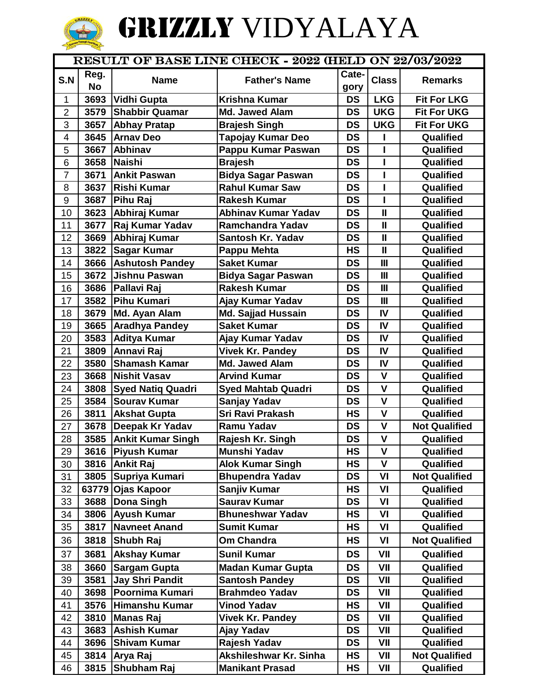## **CONSTRAINS INCOMENTAIN**

## GRIZZLY VIDYALAYA

| RESULT OF BASE LINE CHECK - 2022 (HELD ON 22/03/2022 |           |                          |                            |           |                |                      |  |  |
|------------------------------------------------------|-----------|--------------------------|----------------------------|-----------|----------------|----------------------|--|--|
|                                                      | Reg.      |                          |                            | Cate-     |                |                      |  |  |
| S.N                                                  | <b>No</b> | <b>Name</b>              | <b>Father's Name</b>       | gory      | <b>Class</b>   | <b>Remarks</b>       |  |  |
| $\mathbf{1}$                                         | 3693      | Vidhi Gupta              | <b>Krishna Kumar</b>       | <b>DS</b> | <b>LKG</b>     | <b>Fit For LKG</b>   |  |  |
| $\overline{2}$                                       | 3579      | <b>Shabbir Quamar</b>    | Md. Jawed Alam             | <b>DS</b> | <b>UKG</b>     | <b>Fit For UKG</b>   |  |  |
| 3                                                    | 3657      | <b>Abhay Pratap</b>      | <b>Brajesh Singh</b>       | <b>DS</b> | <b>UKG</b>     | <b>Fit For UKG</b>   |  |  |
| 4                                                    | 3645      | <b>Arnav Deo</b>         | <b>Tapojay Kumar Deo</b>   | <b>DS</b> |                | Qualified            |  |  |
| 5                                                    | 3667      | Abhinav                  | Pappu Kumar Paswan         | <b>DS</b> | ı              | Qualified            |  |  |
| 6                                                    | 3658      | Naishi                   | <b>Brajesh</b>             | <b>DS</b> | $\mathbf{I}$   | Qualified            |  |  |
| $\overline{7}$                                       | 3671      | <b>Ankit Paswan</b>      | <b>Bidya Sagar Paswan</b>  | <b>DS</b> | ı              | Qualified            |  |  |
| 8                                                    | 3637      | <b>Rishi Kumar</b>       | <b>Rahul Kumar Saw</b>     | <b>DS</b> | T              | Qualified            |  |  |
| 9                                                    | 3687      | <b>Pihu Raj</b>          | <b>Rakesh Kumar</b>        | <b>DS</b> | Ī              | Qualified            |  |  |
| 10                                                   | 3623      | Abhiraj Kumar            | <b>Abhinav Kumar Yadav</b> | <b>DS</b> | $\mathbf{I}$   | Qualified            |  |  |
| 11                                                   | 3677      | Raj Kumar Yadav          | <b>Ramchandra Yadav</b>    | <b>DS</b> | $\mathbf{I}$   | Qualified            |  |  |
| 12                                                   | 3669      | Abhiraj Kumar            | Santosh Kr. Yadav          | <b>DS</b> | $\mathbf{I}$   | Qualified            |  |  |
| 13                                                   | 3822      | <b>Sagar Kumar</b>       | <b>Pappu Mehta</b>         | <b>HS</b> | $\mathbf{I}$   | Qualified            |  |  |
| 14                                                   | 3666      | <b>Ashutosh Pandey</b>   | <b>Saket Kumar</b>         | <b>DS</b> | $\mathbf{III}$ | Qualified            |  |  |
| 15                                                   | 3672      | <b>Jishnu Paswan</b>     | <b>Bidya Sagar Paswan</b>  | <b>DS</b> | Ш              | Qualified            |  |  |
| 16                                                   | 3686      | <b>Pallavi Raj</b>       | <b>Rakesh Kumar</b>        | <b>DS</b> | $\mathbf{III}$ | Qualified            |  |  |
| 17                                                   |           | 3582 Pihu Kumari         | Ajay Kumar Yadav           | <b>DS</b> | Ш              | Qualified            |  |  |
| 18                                                   | 3679      | Md. Ayan Alam            | <b>Md. Sajjad Hussain</b>  | <b>DS</b> | IV             | Qualified            |  |  |
| 19                                                   | 3665      | <b>Aradhya Pandey</b>    | <b>Saket Kumar</b>         | <b>DS</b> | IV             | Qualified            |  |  |
| 20                                                   | 3583      | <b>Aditya Kumar</b>      | Ajay Kumar Yadav           | <b>DS</b> | IV             | Qualified            |  |  |
| 21                                                   | 3809      | Annavi Raj               | <b>Vivek Kr. Pandey</b>    | <b>DS</b> | IV             | Qualified            |  |  |
| 22                                                   | 3580      | <b>Shamash Kamar</b>     | Md. Jawed Alam             | <b>DS</b> | IV             | Qualified            |  |  |
| 23                                                   | 3668      | <b>Nishit Vasav</b>      | <b>Arvind Kumar</b>        | <b>DS</b> | $\mathbf{V}$   | Qualified            |  |  |
| 24                                                   | 3808      | <b>Syed Natiq Quadri</b> | <b>Syed Mahtab Quadri</b>  | <b>DS</b> | $\mathsf{V}$   | Qualified            |  |  |
| 25                                                   | 3584      | <b>Sourav Kumar</b>      | Sanjay Yadav               | <b>DS</b> | $\mathsf{V}$   | Qualified            |  |  |
| 26                                                   | 3811      | <b>Akshat Gupta</b>      | Sri Ravi Prakash           | <b>HS</b> | $\mathsf{V}$   | Qualified            |  |  |
| 27                                                   | 3678      | Deepak Kr Yadav          | <b>Ramu Yadav</b>          | <b>DS</b> | $\mathsf{V}$   | <b>Not Qualified</b> |  |  |
| 28                                                   |           | 3585 Ankit Kumar Singh   | Rajesh Kr. Singh           | <b>DS</b> | $\mathsf{V}$   | Qualified            |  |  |
| 29                                                   |           | 3616 Piyush Kumar        | Munshi Yadav               | НS        | V              | Qualified            |  |  |
| 30                                                   | 3816      | <b>Ankit Raj</b>         | <b>Alok Kumar Singh</b>    | HS        | V              | Qualified            |  |  |
| 31                                                   | 3805      | Supriya Kumari           | <b>Bhupendra Yadav</b>     | <b>DS</b> | VI             | <b>Not Qualified</b> |  |  |
| 32                                                   | 63779     | <b>Ojas Kapoor</b>       | Sanjiv Kumar               | HS        | VI             | Qualified            |  |  |
| 33                                                   | 3688      | <b>Dona Singh</b>        | <b>Saurav Kumar</b>        | <b>DS</b> | VI             | Qualified            |  |  |
| 34                                                   | 3806      | <b>Ayush Kumar</b>       | <b>Bhuneshwar Yadav</b>    | HS        | VI             | Qualified            |  |  |
| 35                                                   | 3817      | <b>Navneet Anand</b>     | <b>Sumit Kumar</b>         | HS        | VI             | Qualified            |  |  |
| 36                                                   | 3818      | Shubh Raj                | Om Chandra                 | HS        | VI             | <b>Not Qualified</b> |  |  |
| 37                                                   | 3681      | <b>Akshay Kumar</b>      | <b>Sunil Kumar</b>         | <b>DS</b> | VII            | Qualified            |  |  |
| 38                                                   | 3660      | <b>Sargam Gupta</b>      | <b>Madan Kumar Gupta</b>   | DS        | VII            | Qualified            |  |  |
| 39                                                   | 3581      | <b>Jay Shri Pandit</b>   | <b>Santosh Pandey</b>      | <b>DS</b> | VII            | Qualified            |  |  |
| 40                                                   | 3698      | Poornima Kumari          | <b>Brahmdeo Yadav</b>      | <b>DS</b> | VII            | Qualified            |  |  |
| 41                                                   | 3576      | Himanshu Kumar           | <b>Vinod Yadav</b>         | HS        | VII            | Qualified            |  |  |
| 42                                                   | 3810      | <b>Manas Raj</b>         | <b>Vivek Kr. Pandey</b>    | <b>DS</b> | VII            | Qualified            |  |  |
| 43                                                   | 3683      | <b>Ashish Kumar</b>      | Ajay Yadav                 | <b>DS</b> | VII            | Qualified            |  |  |
| 44                                                   | 3696      | <b>Shivam Kumar</b>      | Rajesh Yadav               | <b>DS</b> | VII            | Qualified            |  |  |
| 45                                                   | 3814      | Arya Raj                 | Akshileshwar Kr. Sinha     | HS        | VII            | <b>Not Qualified</b> |  |  |
| 46                                                   | 3815      | Shubham Raj              | <b>Manikant Prasad</b>     | HS        | VII            | Qualified            |  |  |